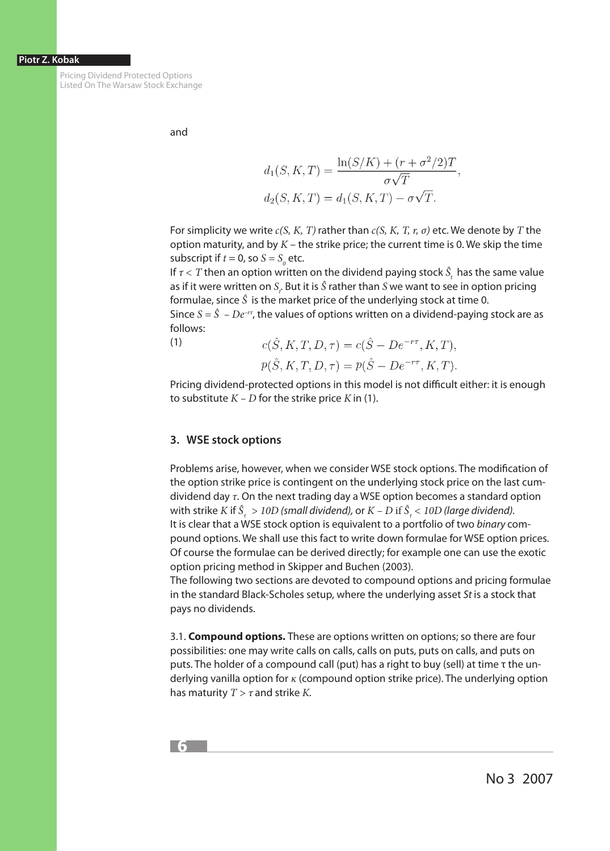#### **Piotr Z. Kobak**

Pricing Dividend Protected Options Listed On The Warsaw Stock Exchange

and

$$
d_1(S, K, T) = \frac{\ln(S/K) + (r + \sigma^2/2)T}{\sigma\sqrt{T}},
$$
  

$$
d_2(S, K, T) = d_1(S, K, T) - \sigma\sqrt{T}.
$$

For simplicity we write *c(S, K, T)* rather than *c(S, K, T, r, σ)* etc. We denote by *T* the option maturity, and by *K* – the strike price; the current time is 0. We skip the time subscript if  $t = 0$ , so  $S = S_0$  etc.

If  $\tau$  < T then an option written on the dividend paying stock  $\hat{S}_t$  has the same value as if it were written on  $S_t$ . But it is  $\hat{S}$  rather than  $S$  we want to see in option pricing formulae, since *Ŝ* is the market price of the underlying stock at time 0.

Since  $S = \hat{S} - De^{-r\tau}$ , the values of options written on a dividend-paying stock are as follows:  $c(\hat{S} K T D \tau) = c(\hat{S} - De^{-r\tau} K T)$ 

(1)

$$
p(\hat{S}, K, T, D, \tau) = p(\hat{S} - De^{-r\tau}, K, T).
$$

Pricing dividend-protected options in this model is not difficult either: it is enough to substitute  $K - D$  for the strike price  $K$  in (1).

## **3. WSE stock options**

Problems arise, however, when we consider WSE stock options. The modification of the option strike price is contingent on the underlying stock price on the last cumdividend day *τ*. On the next trading day a WSE option becomes a standard option with strike  $K$  if  $\hat{S}_{_{\tau}}>10D$  (small dividend), or  $K$  –  $D$  if  $\hat{S}_{_{\tau}}<10D$  (large dividend). It is clear that a WSE stock option is equivalent to a portfolio of two *binary* compound options. We shall use this fact to write down formulae for WSE option prices. Of course the formulae can be derived directly; for example one can use the exotic option pricing method in Skipper and Buchen (2003).

The following two sections are devoted to compound options and pricing formulae in the standard Black-Scholes setup, where the underlying asset *St* is a stock that pays no dividends.

3.1. **Compound options.** These are options written on options; so there are four possibilities: one may write calls on calls, calls on puts, puts on calls, and puts on puts. The holder of a compound call (put) has a right to buy (sell) at time τ the underlying vanilla option for *κ* (compound option strike price). The underlying option has maturity *T > τ* and strike *K.*

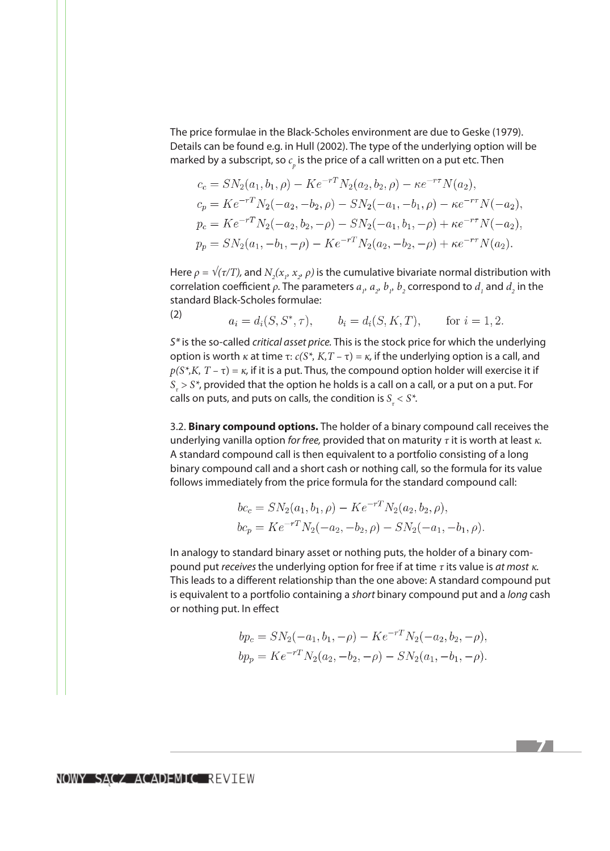The price formulae in the Black-Scholes environment are due to Geske (1979). Details can be found e.g. in Hull (2002). The type of the underlying option will be marked by a subscript, so  $c_{_{\!P}}$  is the price of a call written on a put etc. Then

$$
c_c = SN_2(a_1, b_1, \rho) - Ke^{-rT} N_2(a_2, b_2, \rho) - \kappa e^{-rT} N(a_2),
$$
  
\n
$$
c_p = Ke^{-rT} N_2(-a_2, -b_2, \rho) - SN_2(-a_1, -b_1, \rho) - \kappa e^{-rT} N(-a_2),
$$
  
\n
$$
p_c = Ke^{-rT} N_2(-a_2, b_2, -\rho) - SN_2(-a_1, b_1, -\rho) + \kappa e^{-rT} N(-a_2),
$$
  
\n
$$
p_p = SN_2(a_1, -b_1, -\rho) - Ke^{-rT} N_2(a_2, -b_2, -\rho) + \kappa e^{-rT} N(a_2).
$$

Here  $\rho = \sqrt{\tau/T}$ , and  $N_2(x_p, x_p, \rho)$  is the cumulative bivariate normal distribution with correlation coefficient  $\rho$ . The parameters  $a_{p}$ ,  $a_{p}$ ,  $b_{p}$ ,  $b_{p}$  correspond to  $d_{1}$  and  $d_{2}$  in the standard Black-Scholes formulae:

 $a_i = d_i(S, S^*, \tau),$   $b_i = d_i(S, K, T),$  for  $i = 1, 2$ .

*S\** is the so-called *critical asset price.* This is the stock price for which the underlying option is worth *κ* at time τ:  $c(S^*, K, T - \tau) = \kappa$ , if the underlying option is a call, and  $p(S^*, K, T - \tau) = \kappa$ , if it is a put. Thus, the compound option holder will exercise it if *Sτ > S\**, provided that the option he holds is a call on a call, or a put on a put. For calls on puts, and puts on calls, the condition is  $S<sub>r</sub> < S<sup>*</sup>$ .

3.2. **Binary compound options.** The holder of a binary compound call receives the underlying vanilla option *for free,* provided that on maturity *τ* it is worth at least *κ.*  A standard compound call is then equivalent to a portfolio consisting of a long binary compound call and a short cash or nothing call, so the formula for its value follows immediately from the price formula for the standard compound call:

$$
bc_c = SN_2(a_1, b_1, \rho) - Ke^{-rT} N_2(a_2, b_2, \rho),
$$
  

$$
bc_p = Ke^{-rT} N_2(-a_2, -b_2, \rho) - SN_2(-a_1, -b_1, \rho)
$$

In analogy to standard binary asset or nothing puts, the holder of a binary compound put *receives* the underlying option for free if at time *τ* its value is *at most κ.*  This leads to a different relationship than the one above: A standard compound put is equivalent to a portfolio containing a *short* binary compound put and a *long* cash or nothing put. In effect

$$
bp_c = SN_2(-a_1, b_1, -\rho) - Ke^{-rT}N_2(-a_2, b_2, -\rho),
$$
  

$$
bp_p = Ke^{-rT}N_2(a_2, -b_2, -\rho) - SN_2(a_1, -b_1, -\rho).
$$

71

(2)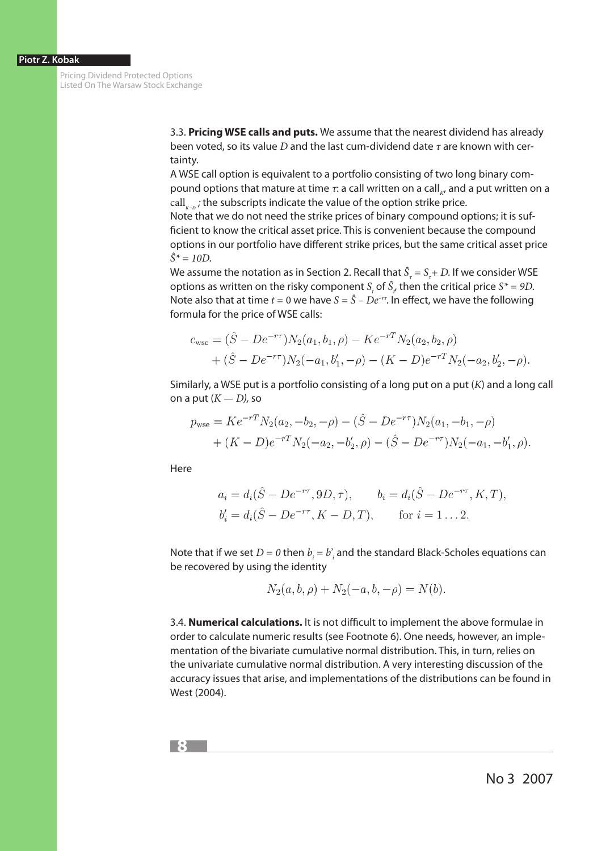Pricing Dividend Protected Options Listed On The Warsaw Stock Exchange

> 3.3. **Pricing WSE calls and puts.** We assume that the nearest dividend has already been voted, so its value *D* and the last cum-dividend date *τ* are known with certainty.

A WSE call option is equivalent to a portfolio consisting of two long binary compound options that mature at time *τ*: a call written on a call<sub>*κ*</sub>, and a put written on a call<sub>ke</sub>; the subscripts indicate the value of the option strike price.

Note that we do not need the strike prices of binary compound options; it is sufficient to know the critical asset price. This is convenient because the compound options in our portfolio have different strike prices, but the same critical asset price  $\hat{S}^* = 10D$ .

We assume the notation as in Section 2. Recall that  $\hat{S}_\tau = S_\tau + D$ . If we consider WSE options as written on the risky component  $S_t$  of  $\hat{S}_t$  then the critical price  $S^* = 9D$ . Note also that at time  $t = 0$  we have  $S = \hat{S} - De^{-rt}$ . In effect, we have the following formula for the price of WSE calls:

$$
c_{\text{wse}} = (\hat{S} - De^{-r\tau})N_2(a_1, b_1, \rho) - Ke^{-rT}N_2(a_2, b_2, \rho)
$$
  
+  $(\hat{S} - De^{-r\tau})N_2(-a_1, b'_1, -\rho) - (K - D)e^{-rT}N_2(-a_2, b'_2, -\rho).$ 

Similarly, a WSE put is a portfolio consisting of a long put on a put (*K*) and a long call on a put (*K — D),* so

$$
p_{\text{wse}} = Ke^{-rT} N_2(a_2, -b_2, -\rho) - (\hat{S} - De^{-r\tau}) N_2(a_1, -b_1, -\rho)
$$
  
+ 
$$
(K - D)e^{-rT} N_2(-a_2, -b'_2, \rho) - (\hat{S} - De^{-r\tau}) N_2(-a_1, -b'_1, \rho).
$$

Here

$$
a_i = d_i(\hat{S} - De^{-r\tau}, 9D, \tau), \qquad b_i = d_i(\hat{S} - De^{-r\tau}, K, T),
$$
  
\n
$$
b'_i = d_i(\hat{S} - De^{-r\tau}, K - D, T), \qquad \text{for } i = 1...2.
$$

Note that if we set  $D = 0$  then  $b_i = b_i$  and the standard Black-Scholes equations can be recovered by using the identity

$$
N_2(a, b, \rho) + N_2(-a, b, -\rho) = N(b).
$$

3.4. **Numerical calculations.** It is not difficult to implement the above formulae in order to calculate numeric results (see Footnote 6). One needs, however, an implementation of the bivariate cumulative normal distribution. This, in turn, relies on the univariate cumulative normal distribution. A very interesting discussion of the accuracy issues that arise, and implementations of the distributions can be found in West (2004).

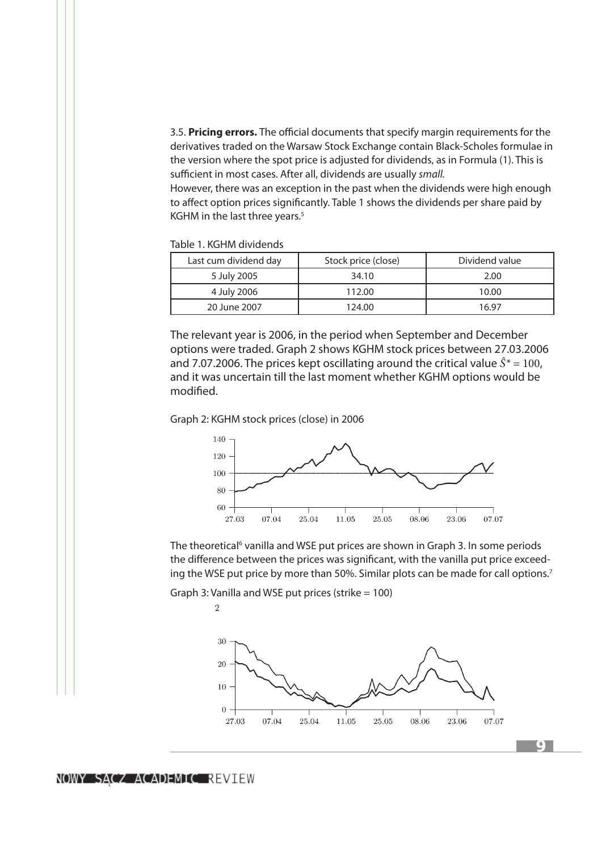3.5. **Pricing errors.** The official documents that specify margin requirements for the derivatives traded on the Warsaw Stock Exchange contain Black-Scholes formulae in the version where the spot price is adjusted for dividends, as in Formula (1). This is sufficient in most cases. After all, dividends are usually *small.*

However, there was an exception in the past when the dividends were high enough to affect option prices significantly. Table 1 shows the dividends per share paid by KGHM in the last three years.<sup>5</sup>

Table 1. KGHM dividends

| Last cum dividend day | Stock price (close) | Dividend value |
|-----------------------|---------------------|----------------|
| 5 July 2005           | 34.10               | 2.00           |
| 4 July 2006           | 112.00              | 10.00          |
| 20 June 2007          | 124.00              | 16 97          |

The relevant year is 2006, in the period when September and December options were traded. Graph 2 shows KGHM stock prices between 27.03.2006 and 7.07.2006. The prices kept oscillating around the critical value  $\hat{S}^* = 100$ , and it was uncertain till the last moment whether KGHM options would be modified.

Graph 2: KGHM stock prices (close) in 2006



The theoretical<sup>6</sup> vanilla and WSE put prices are shown in Graph 3. In some periods the difference between the prices was significant, with the vanilla put price exceeding the WSE put price by more than 50%. Similar plots can be made for call options.<sup>7</sup>

Graph 3: Vanilla and WSE put prices (strike  $= 100$ )

 $\overline{2}$ 

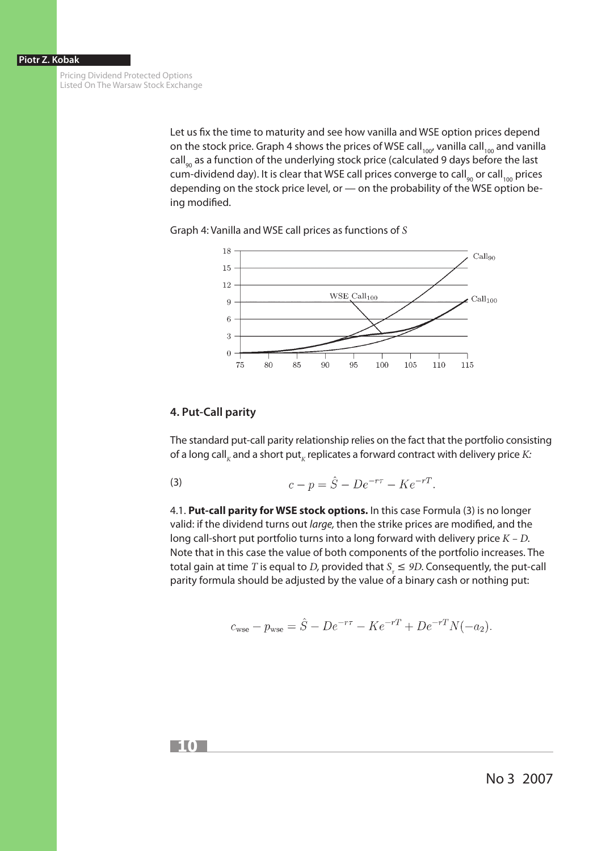Pricing Dividend Protected Options Listed On The Warsaw Stock Exchange

> Let us fix the time to maturity and see how vanilla and WSE option prices depend on the stock price. Graph 4 shows the prices of WSE call<sub>100</sub>, vanilla call<sub>100</sub> and vanilla  $\text{call}_{\text{eq}}$  as a function of the underlying stock price (calculated 9 days before the last cum-dividend day). It is clear that WSE call prices converge to call<sub>90</sub> or call<sub>100</sub> prices depending on the stock price level, or — on the probability of the WSE option being modified.

Graph 4: Vanilla and WSE call prices as functions of *S*



# **4. Put-Call parity**

The standard put-call parity relationship relies on the fact that the portfolio consisting of a long call<sub>k</sub> and a short put<sub>k</sub> replicates a forward contract with delivery price *K*:

(3) 
$$
c - p = \hat{S} - De^{-r\tau} - Ke^{-rT}.
$$

4.1. **Put-call parity for WSE stock options.** In this case Formula (3) is no longer valid: if the dividend turns out *large,* then the strike prices are modified, and the long call-short put portfolio turns into a long forward with delivery price *K – D.*  Note that in this case the value of both components of the portfolio increases. The total gain at time *T* is equal to *D*, provided that  $S<sub>\tau</sub> \le 9D$ . Consequently, the put-call parity formula should be adjusted by the value of a binary cash or nothing put:

$$
c_{\text{wse}} - p_{\text{wse}} = \hat{S} - De^{-r\tau} - Ke^{-rT} + De^{-rT}N(-a_2)
$$

**10**

No 3 2007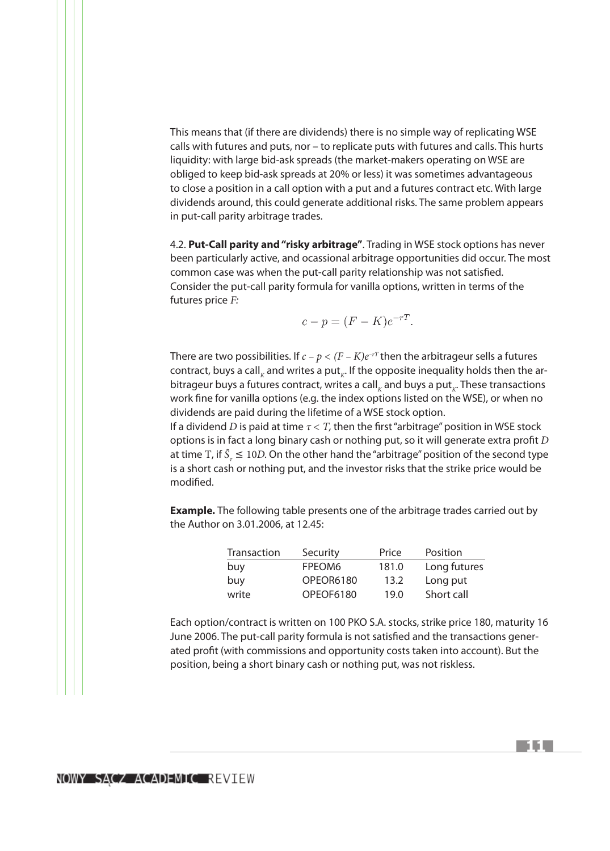This means that (if there are dividends) there is no simple way of replicating WSE calls with futures and puts, nor – to replicate puts with futures and calls. This hurts liquidity: with large bid-ask spreads (the market-makers operating on WSE are obliged to keep bid-ask spreads at 20% or less) it was sometimes advantageous to close a position in a call option with a put and a futures contract etc. With large dividends around, this could generate additional risks. The same problem appears in put-call parity arbitrage trades.

4.2. **Put-Call parity and "risky arbitrage"**. Trading in WSE stock options has never been particularly active, and ocassional arbitrage opportunities did occur. The most common case was when the put-call parity relationship was not satisfied. Consider the put-call parity formula for vanilla options, written in terms of the futures price *F:*

$$
c - p = (F - K)e^{-rT}
$$

There are two possibilities. If  $c - p < (F - K)e^{-rT}$  then the arbitrageur sells a futures contract, buys a call<sub>k</sub> and writes a put<sub>k</sub>. If the opposite inequality holds then the arbitrageur buys a futures contract, writes a call<sub>k</sub> and buys a put<sub>k</sub>. These transactions work fine for vanilla options (e.g. the index options listed on the WSE), or when no dividends are paid during the lifetime of a WSE stock option.

If a dividend *D* is paid at time *τ < T,* then the first "arbitrage" position in WSE stock options is in fact a long binary cash or nothing put, so it will generate extra profit *D* at time T, if  $\hat{S}_2 \leq 10D$ . On the other hand the "arbitrage" position of the second type is a short cash or nothing put, and the investor risks that the strike price would be modified.

**Example.** The following table presents one of the arbitrage trades carried out by the Author on 3.01.2006, at 12.45:

| Transaction | Security  | Price | Position     |
|-------------|-----------|-------|--------------|
| buy         | FPEOM6    | 181.0 | Long futures |
| buy         | OPEOR6180 | 13.2  | Long put     |
| write       | OPEOF6180 | 19.0  | Short call   |

Each option/contract is written on 100 PKO S.A. stocks, strike price 180, maturity 16 June 2006. The put-call parity formula is not satisfied and the transactions generated profit (with commissions and opportunity costs taken into account). But the position, being a short binary cash or nothing put, was not riskless.

**11**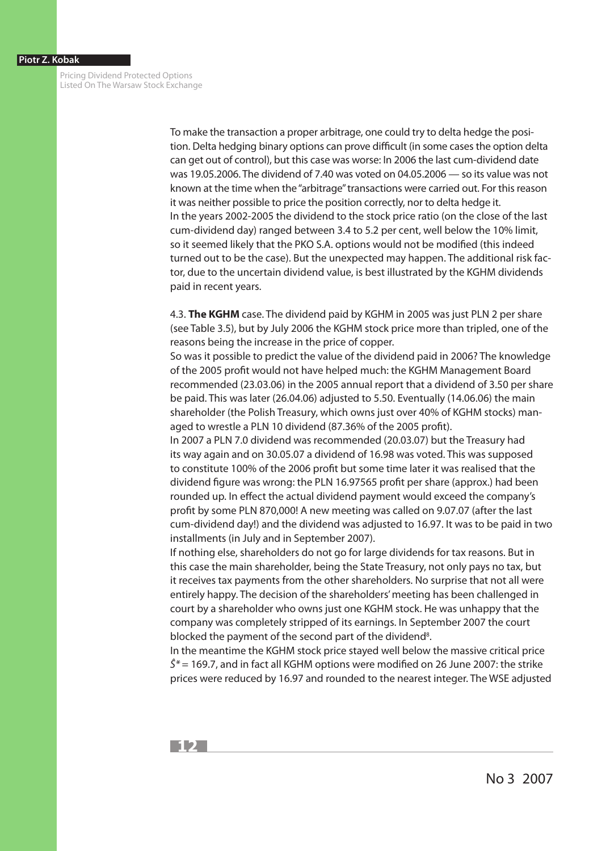Pricing Dividend Protected Options Listed On The Warsaw Stock Exchange

> To make the transaction a proper arbitrage, one could try to delta hedge the position. Delta hedging binary options can prove difficult (in some cases the option delta can get out of control), but this case was worse: In 2006 the last cum-dividend date was 19.05.2006. The dividend of 7.40 was voted on 04.05.2006 — so its value was not known at the time when the "arbitrage" transactions were carried out. For this reason it was neither possible to price the position correctly, nor to delta hedge it. In the years 2002-2005 the dividend to the stock price ratio (on the close of the last cum-dividend day) ranged between 3.4 to 5.2 per cent, well below the 10% limit, so it seemed likely that the PKO S.A. options would not be modified (this indeed turned out to be the case). But the unexpected may happen. The additional risk factor, due to the uncertain dividend value, is best illustrated by the KGHM dividends paid in recent years.

> 4.3. **The KGHM** case. The dividend paid by KGHM in 2005 was just PLN 2 per share (see Table 3.5), but by July 2006 the KGHM stock price more than tripled, one of the reasons being the increase in the price of copper.

So was it possible to predict the value of the dividend paid in 2006? The knowledge of the 2005 profit would not have helped much: the KGHM Management Board recommended (23.03.06) in the 2005 annual report that a dividend of 3.50 per share be paid. This was later (26.04.06) adjusted to 5.50. Eventually (14.06.06) the main shareholder (the Polish Treasury, which owns just over 40% of KGHM stocks) managed to wrestle a PLN 10 dividend (87.36% of the 2005 profit).

In 2007 a PLN 7.0 dividend was recommended (20.03.07) but the Treasury had its way again and on 30.05.07 a dividend of 16.98 was voted. This was supposed to constitute 100% of the 2006 profit but some time later it was realised that the dividend figure was wrong: the PLN 16.97565 profit per share (approx.) had been rounded up. In effect the actual dividend payment would exceed the company's profit by some PLN 870,000! A new meeting was called on 9.07.07 (after the last cum-dividend day!) and the dividend was adjusted to 16.97. It was to be paid in two installments (in July and in September 2007).

If nothing else, shareholders do not go for large dividends for tax reasons. But in this case the main shareholder, being the State Treasury, not only pays no tax, but it receives tax payments from the other shareholders. No surprise that not all were entirely happy. The decision of the shareholders' meeting has been challenged in court by a shareholder who owns just one KGHM stock. He was unhappy that the company was completely stripped of its earnings. In September 2007 the court blocked the payment of the second part of the dividend<sup>8</sup>.

In the meantime the KGHM stock price stayed well below the massive critical price *Ŝ\** = 169.7, and in fact all KGHM options were modified on 26 June 2007: the strike prices were reduced by 16.97 and rounded to the nearest integer. The WSE adjusted



No 3 2007